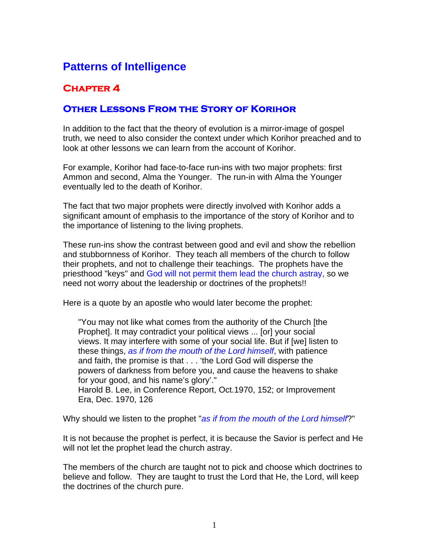## **Patterns of Intelligence**

## **Chapter 4**

## **Other Lessons From the Story of Korihor**

In addition to the fact that the theory of evolution is a mirror-image of gospel truth, we need to also consider the context under which Korihor preached and to look at other lessons we can learn from the account of Korihor.

For example, Korihor had face-to-face run-ins with two major prophets: first Ammon and second, Alma the Younger. The run-in with Alma the Younger eventually led to the death of Korihor.

The fact that two major prophets were directly involved with Korihor adds a significant amount of emphasis to the importance of the story of Korihor and to the importance of listening to the living prophets.

These run-ins show the contrast between good and evil and show the rebellion and stubbornness of Korihor. They teach all members of the church to follow their prophets, and not to challenge their teachings. The prophets have the priesthood "keys" and God will not permit them lead the church astray, so we need not worry about the leadership or doctrines of the prophets!!

Here is a quote by an apostle who would later become the prophet:

"You may not like what comes from the authority of the Church [the Prophet]. It may contradict your political views ... [or] your social views. It may interfere with some of your social life. But if [we] listen to these things, *as if from the mouth of the Lord himself*, with patience and faith, the promise is that . . . 'the Lord God will disperse the powers of darkness from before you, and cause the heavens to shake for your good, and his name's glory'." Harold B. Lee, in Conference Report, Oct.1970, 152; or Improvement Era, Dec. 1970, 126

Why should we listen to the prophet "*as if from the mouth of the Lord himself*?"

It is not because the prophet is perfect, it is because the Savior is perfect and He will not let the prophet lead the church astray.

The members of the church are taught not to pick and choose which doctrines to believe and follow. They are taught to trust the Lord that He, the Lord, will keep the doctrines of the church pure.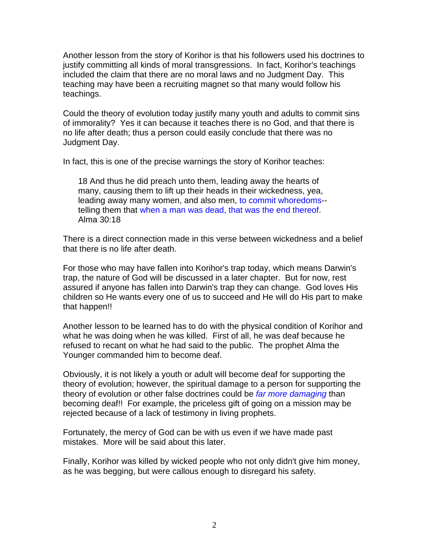Another lesson from the story of Korihor is that his followers used his doctrines to justify committing all kinds of moral transgressions. In fact, Korihor's teachings included the claim that there are no moral laws and no Judgment Day. This teaching may have been a recruiting magnet so that many would follow his teachings.

Could the theory of evolution today justify many youth and adults to commit sins of immorality? Yes it can because it teaches there is no God, and that there is no life after death; thus a person could easily conclude that there was no Judgment Day.

In fact, this is one of the precise warnings the story of Korihor teaches:

18 And thus he did preach unto them, leading away the hearts of many, causing them to lift up their heads in their wickedness, yea, leading away many women, and also men, to commit whoredoms- telling them that when a man was dead, that was the end thereof. Alma 30:18

There is a direct connection made in this verse between wickedness and a belief that there is no life after death.

For those who may have fallen into Korihor's trap today, which means Darwin's trap, the nature of God will be discussed in a later chapter. But for now, rest assured if anyone has fallen into Darwin's trap they can change. God loves His children so He wants every one of us to succeed and He will do His part to make that happen!!

Another lesson to be learned has to do with the physical condition of Korihor and what he was doing when he was killed. First of all, he was deaf because he refused to recant on what he had said to the public. The prophet Alma the Younger commanded him to become deaf.

Obviously, it is not likely a youth or adult will become deaf for supporting the theory of evolution; however, the spiritual damage to a person for supporting the theory of evolution or other false doctrines could be *far more damaging* than becoming deaf!! For example, the priceless gift of going on a mission may be rejected because of a lack of testimony in living prophets.

Fortunately, the mercy of God can be with us even if we have made past mistakes. More will be said about this later.

Finally, Korihor was killed by wicked people who not only didn't give him money, as he was begging, but were callous enough to disregard his safety.